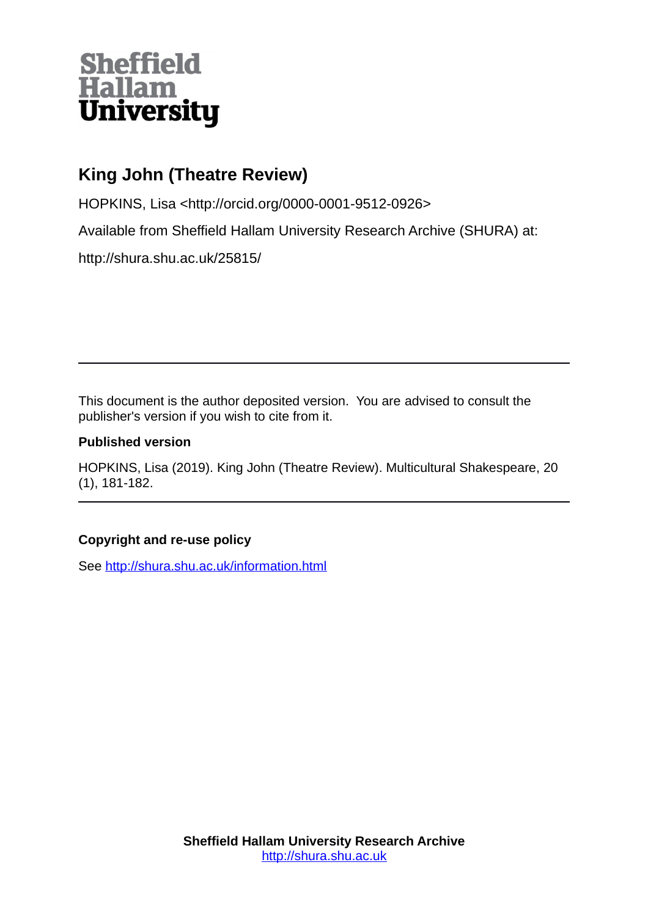# **Sheffield<br>Hallam<br>University**

## **King John (Theatre Review)**

HOPKINS, Lisa <http://orcid.org/0000-0001-9512-0926>

Available from Sheffield Hallam University Research Archive (SHURA) at:

http://shura.shu.ac.uk/25815/

This document is the author deposited version. You are advised to consult the publisher's version if you wish to cite from it.

#### **Published version**

HOPKINS, Lisa (2019). King John (Theatre Review). Multicultural Shakespeare, 20 (1), 181-182.

### **Copyright and re-use policy**

See<http://shura.shu.ac.uk/information.html>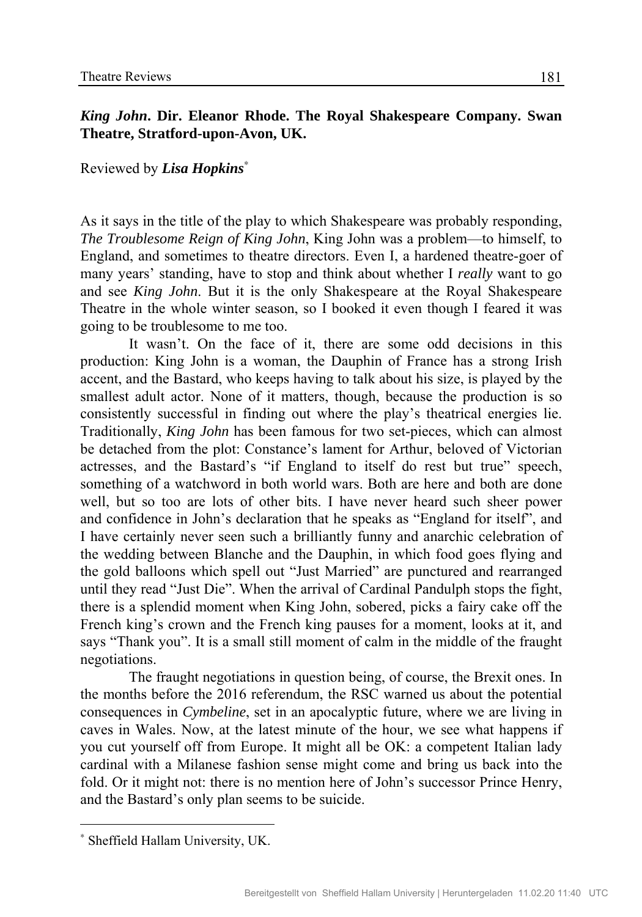#### *King John***. Dir. Eleanor Rhode. The Royal Shakespeare Company. Swan Theatre, Stratford-upon-Avon, UK.**

Reviewed by *Lisa Hopkins*<sup>∗</sup>

As it says in the title of the play to which Shakespeare was probably responding, *The Troublesome Reign of King John*, King John was a problem—to himself, to England, and sometimes to theatre directors. Even I, a hardened theatre-goer of many years' standing, have to stop and think about whether I *really* want to go and see *King John*. But it is the only Shakespeare at the Royal Shakespeare Theatre in the whole winter season, so I booked it even though I feared it was going to be troublesome to me too.

It wasn't. On the face of it, there are some odd decisions in this production: King John is a woman, the Dauphin of France has a strong Irish accent, and the Bastard, who keeps having to talk about his size, is played by the smallest adult actor. None of it matters, though, because the production is so consistently successful in finding out where the play's theatrical energies lie. Traditionally, *King John* has been famous for two set-pieces, which can almost be detached from the plot: Constance's lament for Arthur, beloved of Victorian actresses, and the Bastard's "if England to itself do rest but true" speech, something of a watchword in both world wars. Both are here and both are done well, but so too are lots of other bits. I have never heard such sheer power and confidence in John's declaration that he speaks as "England for itself", and I have certainly never seen such a brilliantly funny and anarchic celebration of the wedding between Blanche and the Dauphin, in which food goes flying and the gold balloons which spell out "Just Married" are punctured and rearranged until they read "Just Die". When the arrival of Cardinal Pandulph stops the fight, there is a splendid moment when King John, sobered, picks a fairy cake off the French king's crown and the French king pauses for a moment, looks at it, and says "Thank you". It is a small still moment of calm in the middle of the fraught negotiations.

The fraught negotiations in question being, of course, the Brexit ones. In the months before the 2016 referendum, the RSC warned us about the potential consequences in *Cymbeline*, set in an apocalyptic future, where we are living in caves in Wales. Now, at the latest minute of the hour, we see what happens if you cut yourself off from Europe. It might all be OK: a competent Italian lady cardinal with a Milanese fashion sense might come and bring us back into the fold. Or it might not: there is no mention here of John's successor Prince Henry, and the Bastard's only plan seems to be suicide.

<u>.</u>

<sup>∗</sup> Sheffield Hallam University, UK.